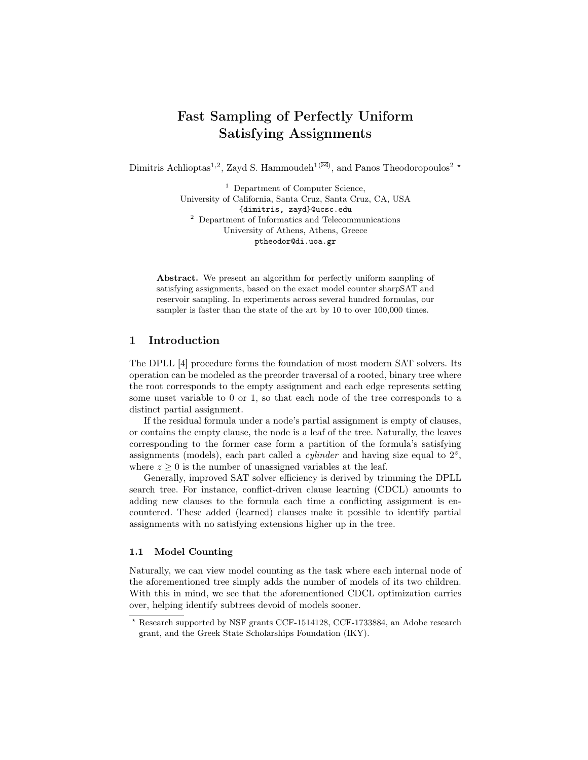# Fast Sampling of Perfectly Uniform Satisfying Assignments

Dimitris Achlioptas<sup>1,2</sup>, Zayd S. Hammoudeh<sup>1( $\boxtimes$ )</sup>, and Panos Theodoropoulos<sup>2</sup><sup>\*</sup>

<sup>1</sup> Department of Computer Science, University of California, Santa Cruz, Santa Cruz, CA, USA {dimitris, zayd}@ucsc.edu <sup>2</sup> Department of Informatics and Telecommunications University of Athens, Athens, Greece ptheodor@di.uoa.gr

Abstract. We present an algorithm for perfectly uniform sampling of satisfying assignments, based on the exact model counter sharpSAT and reservoir sampling. In experiments across several hundred formulas, our sampler is faster than the state of the art by 10 to over 100,000 times.

# 1 Introduction

The DPLL [\[4\]](#page-12-0) procedure forms the foundation of most modern SAT solvers. Its operation can be modeled as the preorder traversal of a rooted, binary tree where the root corresponds to the empty assignment and each edge represents setting some unset variable to 0 or 1, so that each node of the tree corresponds to a distinct partial assignment.

If the residual formula under a node's partial assignment is empty of clauses, or contains the empty clause, the node is a leaf of the tree. Naturally, the leaves corresponding to the former case form a partition of the formula's satisfying assignments (models), each part called a *cylinder* and having size equal to  $2^z$ , where  $z \geq 0$  is the number of unassigned variables at the leaf.

Generally, improved SAT solver efficiency is derived by trimming the DPLL search tree. For instance, conflict-driven clause learning (CDCL) amounts to adding new clauses to the formula each time a conflicting assignment is encountered. These added (learned) clauses make it possible to identify partial assignments with no satisfying extensions higher up in the tree.

#### 1.1 Model Counting

Naturally, we can view model counting as the task where each internal node of the aforementioned tree simply adds the number of models of its two children. With this in mind, we see that the aforementioned CDCL optimization carries over, helping identify subtrees devoid of models sooner.

<sup>?</sup> Research supported by NSF grants CCF-1514128, CCF-1733884, an Adobe research grant, and the Greek State Scholarships Foundation (IKY).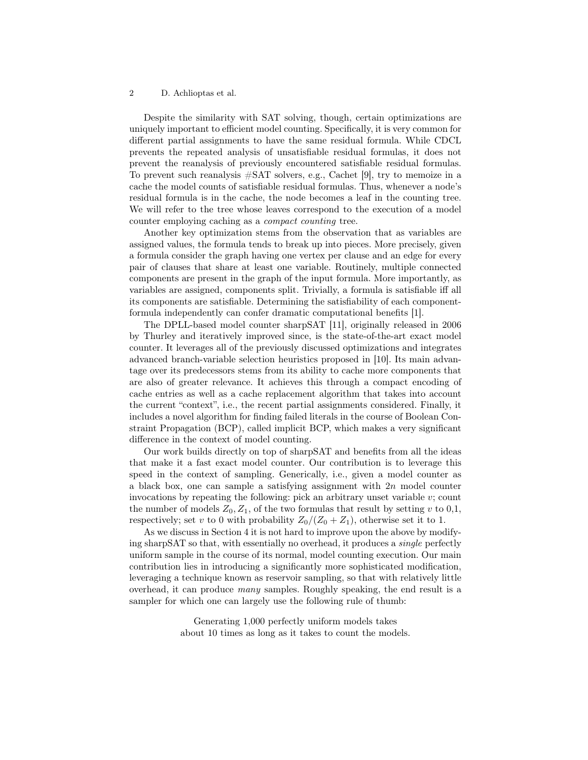#### 2 D. Achlioptas et al.

Despite the similarity with SAT solving, though, certain optimizations are uniquely important to efficient model counting. Specifically, it is very common for different partial assignments to have the same residual formula. While CDCL prevents the repeated analysis of unsatisfiable residual formulas, it does not prevent the reanalysis of previously encountered satisfiable residual formulas. To prevent such reanalysis #SAT solvers, e.g., Cachet [\[9\]](#page-12-1), try to memoize in a cache the model counts of satisfiable residual formulas. Thus, whenever a node's residual formula is in the cache, the node becomes a leaf in the counting tree. We will refer to the tree whose leaves correspond to the execution of a model counter employing caching as a compact counting tree.

Another key optimization stems from the observation that as variables are assigned values, the formula tends to break up into pieces. More precisely, given a formula consider the graph having one vertex per clause and an edge for every pair of clauses that share at least one variable. Routinely, multiple connected components are present in the graph of the input formula. More importantly, as variables are assigned, components split. Trivially, a formula is satisfiable iff all its components are satisfiable. Determining the satisfiability of each componentformula independently can confer dramatic computational benefits [\[1\]](#page-11-0).

The DPLL-based model counter sharpSAT [\[11\]](#page-12-2), originally released in 2006 by Thurley and iteratively improved since, is the state-of-the-art exact model counter. It leverages all of the previously discussed optimizations and integrates advanced branch-variable selection heuristics proposed in [\[10\]](#page-12-3). Its main advantage over its predecessors stems from its ability to cache more components that are also of greater relevance. It achieves this through a compact encoding of cache entries as well as a cache replacement algorithm that takes into account the current "context", i.e., the recent partial assignments considered. Finally, it includes a novel algorithm for finding failed literals in the course of Boolean Constraint Propagation (BCP), called implicit BCP, which makes a very significant difference in the context of model counting.

Our work builds directly on top of sharpSAT and benefits from all the ideas that make it a fast exact model counter. Our contribution is to leverage this speed in the context of sampling. Generically, i.e., given a model counter as a black box, one can sample a satisfying assignment with  $2n$  model counter invocations by repeating the following: pick an arbitrary unset variable  $v$ ; count the number of models  $Z_0, Z_1$ , of the two formulas that result by setting v to 0,1, respectively; set v to 0 with probability  $Z_0/(Z_0 + Z_1)$ , otherwise set it to 1.

As we discuss in Section [4](#page-3-0) it is not hard to improve upon the above by modifying sharpSAT so that, with essentially no overhead, it produces a single perfectly uniform sample in the course of its normal, model counting execution. Our main contribution lies in introducing a significantly more sophisticated modification, leveraging a technique known as reservoir sampling, so that with relatively little overhead, it can produce many samples. Roughly speaking, the end result is a sampler for which one can largely use the following rule of thumb:

> Generating 1,000 perfectly uniform models takes about 10 times as long as it takes to count the models.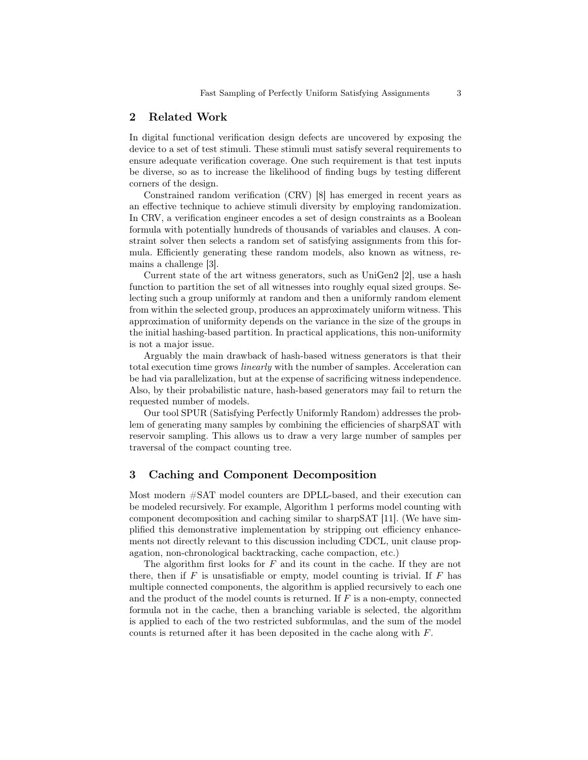# 2 Related Work

In digital functional verification design defects are uncovered by exposing the device to a set of test stimuli. These stimuli must satisfy several requirements to ensure adequate verification coverage. One such requirement is that test inputs be diverse, so as to increase the likelihood of finding bugs by testing different corners of the design.

Constrained random verification (CRV) [\[8\]](#page-12-4) has emerged in recent years as an effective technique to achieve stimuli diversity by employing randomization. In CRV, a verification engineer encodes a set of design constraints as a Boolean formula with potentially hundreds of thousands of variables and clauses. A constraint solver then selects a random set of satisfying assignments from this formula. Efficiently generating these random models, also known as witness, remains a challenge [\[3\]](#page-12-5).

Current state of the art witness generators, such as UniGen2 [\[2\]](#page-12-6), use a hash function to partition the set of all witnesses into roughly equal sized groups. Selecting such a group uniformly at random and then a uniformly random element from within the selected group, produces an approximately uniform witness. This approximation of uniformity depends on the variance in the size of the groups in the initial hashing-based partition. In practical applications, this non-uniformity is not a major issue.

Arguably the main drawback of hash-based witness generators is that their total execution time grows linearly with the number of samples. Acceleration can be had via parallelization, but at the expense of sacrificing witness independence. Also, by their probabilistic nature, hash-based generators may fail to return the requested number of models.

Our tool SPUR (Satisfying Perfectly Uniformly Random) addresses the problem of generating many samples by combining the efficiencies of sharpSAT with reservoir sampling. This allows us to draw a very large number of samples per traversal of the compact counting tree.

### 3 Caching and Component Decomposition

Most modern #SAT model counters are DPLL-based, and their execution can be modeled recursively. For example, Algorithm [1](#page-3-1) performs model counting with component decomposition and caching similar to sharpSAT [\[11\]](#page-12-2). (We have simplified this demonstrative implementation by stripping out efficiency enhancements not directly relevant to this discussion including CDCL, unit clause propagation, non-chronological backtracking, cache compaction, etc.)

The algorithm first looks for  $F$  and its count in the cache. If they are not there, then if  $F$  is unsatisfiable or empty, model counting is trivial. If  $F$  has multiple connected components, the algorithm is applied recursively to each one and the product of the model counts is returned. If  $F$  is a non-empty, connected formula not in the cache, then a branching variable is selected, the algorithm is applied to each of the two restricted subformulas, and the sum of the model counts is returned after it has been deposited in the cache along with F.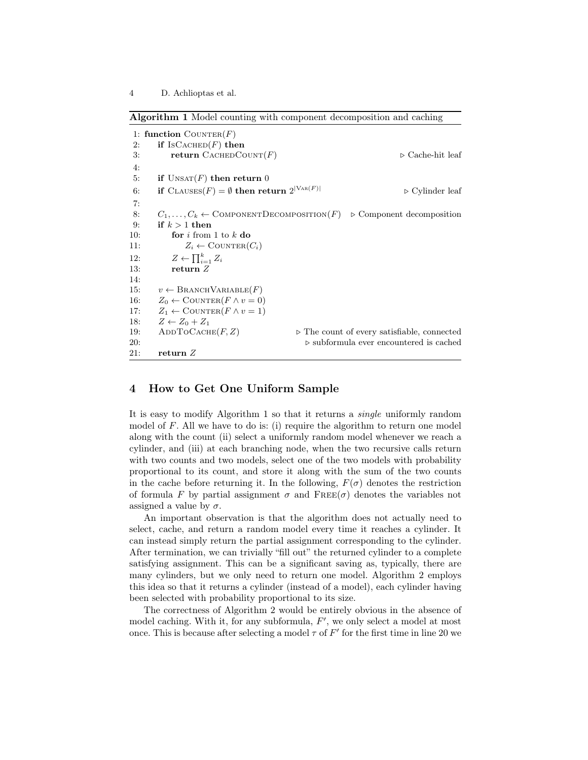<span id="page-3-1"></span>Algorithm 1 Model counting with component decomposition and caching

|     | 1: function COUNTER $(F)$                                      |                                |                                                            |  |
|-----|----------------------------------------------------------------|--------------------------------|------------------------------------------------------------|--|
| 2:  | if IsCachen $(F)$ then                                         |                                |                                                            |  |
| 3:  | <b>return</b> CACHEDCOUNT $(F)$                                |                                | $\triangleright$ Cache-hit leaf                            |  |
| 4:  |                                                                |                                |                                                            |  |
| 5:  | if $UNSAT(F)$ then return 0                                    |                                |                                                            |  |
| 6:  | if $\text{CLASS}(F) = \emptyset$ then return $2^{ V_{AR}(F) }$ | $\triangleright$ Cylinder leaf |                                                            |  |
| 7:  |                                                                |                                |                                                            |  |
| 8:  | $C_1, \ldots, C_k \leftarrow \text{COMPORTDECOMPOSITION}(F)$   |                                | $\triangleright$ Component decomposition                   |  |
| 9:  | if $k > 1$ then                                                |                                |                                                            |  |
| 10: | for i from 1 to $k$ do                                         |                                |                                                            |  |
| 11: | $Z_i \leftarrow \text{COUNTER}(C_i)$                           |                                |                                                            |  |
| 12: | $Z \leftarrow \prod_{i=1}^{k} Z_i$                             |                                |                                                            |  |
| 13: | return $Z$                                                     |                                |                                                            |  |
| 14: |                                                                |                                |                                                            |  |
| 15: | $v \leftarrow$ BRANCHVARIABLE $(F)$                            |                                |                                                            |  |
| 16: | $Z_0 \leftarrow \text{COUNTER}(F \wedge v = 0)$                |                                |                                                            |  |
| 17: | $Z_1 \leftarrow \text{COUNTER}(F \wedge v = 1)$                |                                |                                                            |  |
| 18: | $Z \leftarrow Z_0 + Z_1$                                       |                                |                                                            |  |
| 19: | ADDTOCACHE(F, Z)                                               |                                | $\triangleright$ The count of every satisfiable, connected |  |
| 20: |                                                                |                                | $\triangleright$ subformula ever encountered is cached     |  |
| 21: | return $Z$                                                     |                                |                                                            |  |

### <span id="page-3-0"></span>4 How to Get One Uniform Sample

It is easy to modify Algorithm [1](#page-3-1) so that it returns a single uniformly random model of  $F$ . All we have to do is: (i) require the algorithm to return one model along with the count (ii) select a uniformly random model whenever we reach a cylinder, and (iii) at each branching node, when the two recursive calls return with two counts and two models, select one of the two models with probability proportional to its count, and store it along with the sum of the two counts in the cache before returning it. In the following,  $F(\sigma)$  denotes the restriction of formula F by partial assignment  $\sigma$  and FREE( $\sigma$ ) denotes the variables not assigned a value by  $\sigma$ .

An important observation is that the algorithm does not actually need to select, cache, and return a random model every time it reaches a cylinder. It can instead simply return the partial assignment corresponding to the cylinder. After termination, we can trivially "fill out" the returned cylinder to a complete satisfying assignment. This can be a significant saving as, typically, there are many cylinders, but we only need to return one model. Algorithm [2](#page-4-0) employs this idea so that it returns a cylinder (instead of a model), each cylinder having been selected with probability proportional to its size.

The correctness of Algorithm [2](#page-4-0) would be entirely obvious in the absence of model caching. With it, for any subformula,  $F'$ , we only select a model at most once. This is because after selecting a model  $\tau$  of  $F'$  for the first time in line [20](#page-4-0) we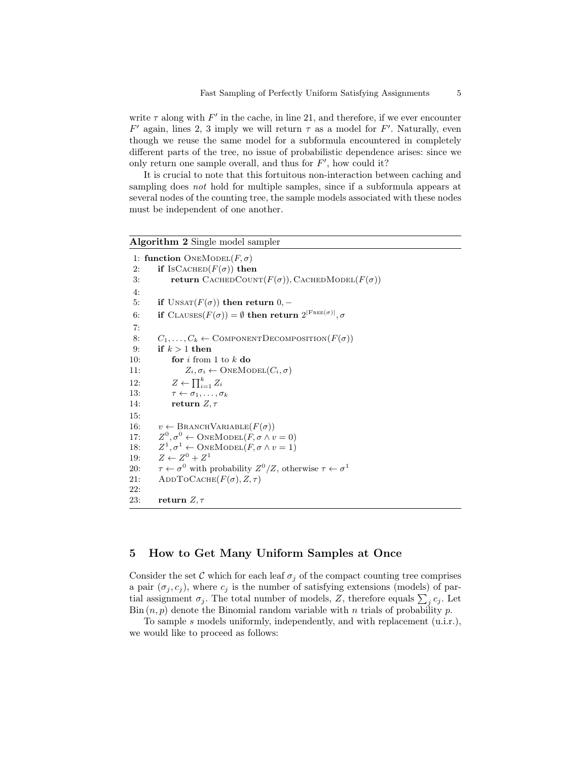write  $\tau$  along with  $F'$  in the cache, in line [21,](#page-4-0) and therefore, if we ever encounter  $F'$  again, lines [2, 3](#page-4-0) imply we will return  $\tau$  as a model for  $F'$ . Naturally, even though we reuse the same model for a subformula encountered in completely different parts of the tree, no issue of probabilistic dependence arises: since we only return one sample overall, and thus for  $F'$ , how could it?

It is crucial to note that this fortuitous non-interaction between caching and sampling does not hold for multiple samples, since if a subformula appears at several nodes of the counting tree, the sample models associated with these nodes must be independent of one another.

### <span id="page-4-0"></span>Algorithm 2 Single model sampler

```
1: function \text{ONEMODEL}(F, \sigma)2: if IsCached(F(\sigma)) then
 3: return \text{CACHEDCOUNT}(F(\sigma)), \text{CACHEDMODEL}(F(\sigma))4:
 5: if UNSAT(F(\sigma)) then return 0, –
 6: if \text{CLASS}(F(\sigma)) = \emptyset then return 2^{|F_{\text{REE}}(\sigma)|}, \sigma7:
 8: C_1, \ldots, C_k \leftarrow \text{COMPONENTDecOMPOSTION}(F(\sigma))9: if k > 1 then
10: for i from 1 to k do
11: Z_i, \sigma_i \leftarrow \text{ONEMoDEL}(C_i, \sigma)12: Z \leftarrow \prod_{i=1}^{k} Z_i13: \tau \leftarrow \sigma_1, \ldots, \sigma_k14: return Z, \tau15:
16: v \leftarrow \text{BrawCHVARIABLE}(F(\sigma))17:\sigma^0 \leftarrow ONEMODEL(F, \sigma \wedge v = 0)
18:
           \sigma^1 \leftarrow \text{OneMoDEL}(F, \sigma \wedge v = 1)19: Z \leftarrow Z^0 + Z^120: \tau \leftarrow \sigma^0 with probability Z^0/Z, otherwise \tau \leftarrow \sigma^121: ADDTOCACHE(F(\sigma), Z, \tau)
22:
23: return Z, \tau
```
### <span id="page-4-1"></span>5 How to Get Many Uniform Samples at Once

Consider the set C which for each leaf  $\sigma_j$  of the compact counting tree comprises a pair  $(\sigma_j, c_j)$ , where  $c_j$  is the number of satisfying extensions (models) of partial assignment  $\sigma_j$ . The total number of models, Z, therefore equals  $\sum_j c_j$ . Let  $\text{Bin}(n, p)$  denote the Binomial random variable with n trials of probability p.

To sample s models uniformly, independently, and with replacement (u.i.r.), we would like to proceed as follows: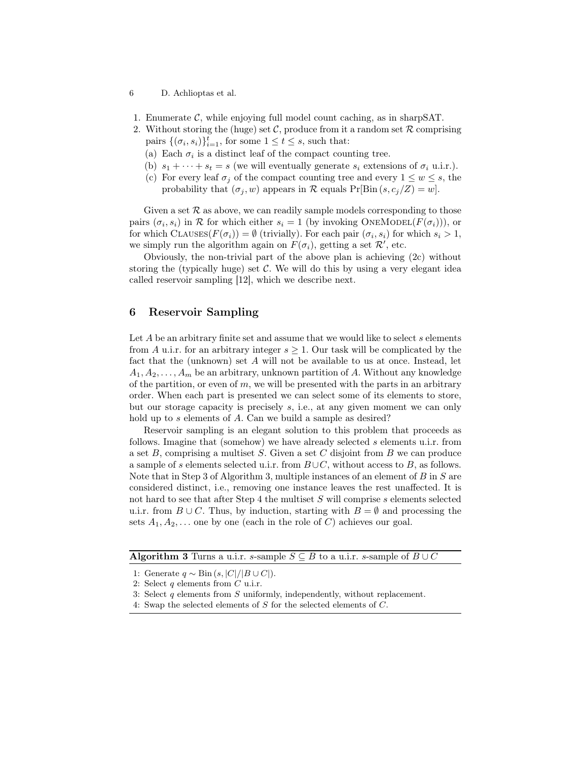- 6 D. Achlioptas et al.
- 1. Enumerate  $\mathcal{C}$ , while enjoying full model count caching, as in sharp SAT.
- <span id="page-5-2"></span>2. Without storing the (huge) set  $\mathcal{C}$ , produce from it a random set  $\mathcal{R}$  comprising pairs  $\{(\sigma_i, s_i)\}_{i=1}^t$ , for some  $1 \le t \le s$ , such that:
	- (a) Each  $\sigma_i$  is a distinct leaf of the compact counting tree.
	- (b)  $s_1 + \cdots + s_t = s$  (we will eventually generate  $s_i$  extensions of  $\sigma_i$  u.i.r.).
	- (c) For every leaf  $\sigma_i$  of the compact counting tree and every  $1 \leq w \leq s$ , the probability that  $(\sigma_j, w)$  appears in  $\mathcal R$  equals Pr[Bin  $(s, c_j/Z) = w$ ].

<span id="page-5-0"></span>Given a set  $R$  as above, we can readily sample models corresponding to those pairs  $(\sigma_i, s_i)$  in  $R$  for which either  $s_i = 1$  (by invoking ONEMODEL( $F(\sigma_i)$ )), or for which  $\text{CLAUSES}(F(\sigma_i)) = \emptyset$  (trivially). For each pair  $(\sigma_i, s_i)$  for which  $s_i > 1$ , we simply run the algorithm again on  $F(\sigma_i)$ , getting a set  $\mathcal{R}'$ , etc.

Obviously, the non-trivial part of the above plan is achieving [\(2c\)](#page-5-0) without storing the (typically huge) set  $\mathcal{C}$ . We will do this by using a very elegant idea called reservoir sampling [\[12\]](#page-12-7), which we describe next.

# 6 Reservoir Sampling

Let  $A$  be an arbitrary finite set and assume that we would like to select  $s$  elements from A u.i.r. for an arbitrary integer  $s \geq 1$ . Our task will be complicated by the fact that the (unknown) set A will not be available to us at once. Instead, let  $A_1, A_2, \ldots, A_m$  be an arbitrary, unknown partition of A. Without any knowledge of the partition, or even of  $m$ , we will be presented with the parts in an arbitrary order. When each part is presented we can select some of its elements to store, but our storage capacity is precisely s, i.e., at any given moment we can only hold up to s elements of A. Can we build a sample as desired?

Reservoir sampling is an elegant solution to this problem that proceeds as follows. Imagine that (somehow) we have already selected s elements u.i.r. from a set  $B$ , comprising a multiset  $S$ . Given a set  $C$  disjoint from  $B$  we can produce a sample of s elements selected u.i.r. from  $B\cup C$ , without access to B, as follows. Note that in Step [3](#page-5-1) of Algorithm [3,](#page-5-1) multiple instances of an element of B in S are considered distinct, i.e., removing one instance leaves the rest unaffected. It is not hard to see that after Step [4](#page-5-1) the multiset S will comprise s elements selected u.i.r. from  $B \cup C$ . Thus, by induction, starting with  $B = \emptyset$  and processing the sets  $A_1, A_2, \ldots$  one by one (each in the role of C) achieves our goal.

<span id="page-5-1"></span>**Algorithm 3** Turns a u.i.r. s-sample  $S \subseteq B$  to a u.i.r. s-sample of  $B \cup C$ 

<sup>1:</sup> Generate  $q \sim \text{Bin}(s, |C|/|B \cup C|)$ .

<sup>2:</sup> Select  $q$  elements from  $C$  u.i.r.

<sup>3:</sup> Select q elements from S uniformly, independently, without replacement.

<sup>4:</sup> Swap the selected elements of S for the selected elements of C.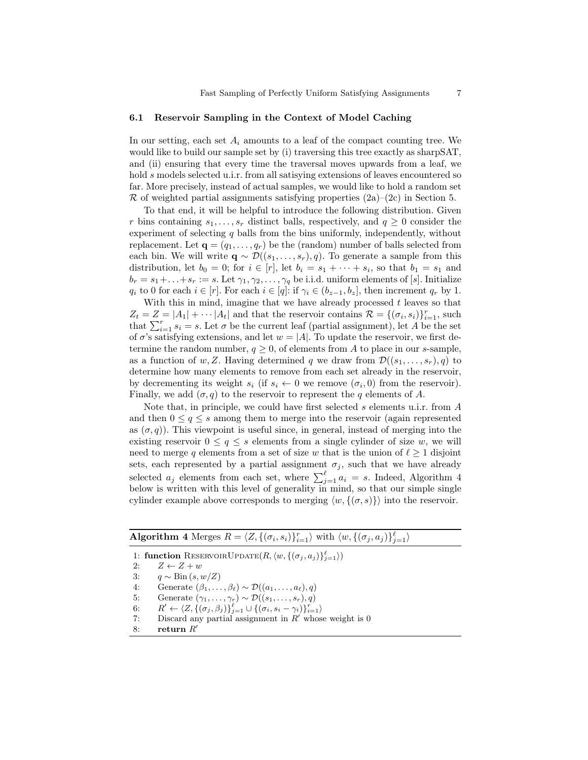#### 6.1 Reservoir Sampling in the Context of Model Caching

In our setting, each set  $A_i$  amounts to a leaf of the compact counting tree. We would like to build our sample set by (i) traversing this tree exactly as sharpSAT, and (ii) ensuring that every time the traversal moves upwards from a leaf, we hold s models selected u.i.r. from all satisying extensions of leaves encountered so far. More precisely, instead of actual samples, we would like to hold a random set  $\mathcal R$  of weighted partial assignments satisfying properties  $(2a)-(2c)$  $(2a)-(2c)$  $(2a)-(2c)$  in Section [5.](#page-4-1)

To that end, it will be helpful to introduce the following distribution. Given r bins containing  $s_1, \ldots, s_r$  distinct balls, respectively, and  $q \geq 0$  consider the experiment of selecting  $q$  balls from the bins uniformly, independently, without replacement. Let  $\mathbf{q} = (q_1, \ldots, q_r)$  be the (random) number of balls selected from each bin. We will write  $\mathbf{q} \sim \mathcal{D}((s_1,\ldots,s_r), q)$ . To generate a sample from this distribution, let  $b_0 = 0$ ; for  $i \in [r]$ , let  $b_i = s_1 + \cdots + s_i$ , so that  $b_1 = s_1$  and  $b_r = s_1 + \ldots + s_r := s$ . Let  $\gamma_1, \gamma_2, \ldots, \gamma_q$  be i.i.d. uniform elements of [s]. Initialize  $q_i$  to 0 for each  $i \in [r]$ . For each  $i \in [q]$ : if  $\gamma_i \in (b_{z-1}, b_z]$ , then increment  $q_r$  by 1.

With this in mind, imagine that we have already processed  $t$  leaves so that  $Z_t = Z = |A_1| + \cdots + |A_t|$  and that the reservoir contains  $\mathcal{R} = \{(\sigma_i, s_i)\}_{i=1}^r$ , such that  $\sum_{i=1}^{r} s_i = s$ . Let  $\sigma$  be the current leaf (partial assignment), let A be the set of  $\sigma$ 's satisfying extensions, and let  $w = |A|$ . To update the reservoir, we first determine the random number,  $q \geq 0$ , of elements from A to place in our s-sample, as a function of w, Z. Having determined q we draw from  $\mathcal{D}((s_1, \ldots, s_r), q)$  to determine how many elements to remove from each set already in the reservoir, by decrementing its weight  $s_i$  (if  $s_i \leftarrow 0$  we remove  $(\sigma_i, 0)$  from the reservoir). Finally, we add  $(\sigma, q)$  to the reservoir to represent the q elements of A.

Note that, in principle, we could have first selected s elements u.i.r. from A and then  $0 \leq q \leq s$  among them to merge into the reservoir (again represented as  $(\sigma, q)$ ). This viewpoint is useful since, in general, instead of merging into the existing reservoir  $0 \leq q \leq s$  elements from a single cylinder of size w, we will need to merge q elements from a set of size w that is the union of  $\ell \geq 1$  disjoint sets, each represented by a partial assignment  $\sigma_i$ , such that we have already selected  $a_j$  elements from each set, where  $\sum_{j=1}^{\ell} a_i = s$ . Indeed, Algorithm [4](#page-6-0) below is written with this level of generality in mind, so that our simple single cylinder example above corresponds to merging  $\langle w, \{(\sigma, s)\}\rangle$  into the reservoir.

<span id="page-6-0"></span>

| <b>Algorithm 4</b> Merges $R = \langle Z, \{(\sigma_i, s_i)\}_{i=1}^r \rangle$ with $\langle w, \{(\sigma_j, a_j)\}_{j=1}^{\ell} \rangle$ |  |  |  |  |  |  |  |  |  |
|-------------------------------------------------------------------------------------------------------------------------------------------|--|--|--|--|--|--|--|--|--|
|-------------------------------------------------------------------------------------------------------------------------------------------|--|--|--|--|--|--|--|--|--|

- 1: function RESERVOIRUPDATE $(R, \langle w, \{(\sigma_j, a_j)\}_{j=1}^{\ell} \rangle)$
- 2:  $Z \leftarrow Z + w$
- 3:  $q \sim \text{Bin}(s, w/Z)$
- 4: Generate  $(\beta_1, \ldots, \beta_\ell) \sim \mathcal{D}((a_1, \ldots, a_\ell), q)$
- 5: Generate  $(\gamma_1, \ldots, \gamma_r) \sim \mathcal{D}((s_1, \ldots, s_r), q)$
- 6:  $R' \leftarrow \langle Z, \{(\sigma_j, \beta_j)\}_{j=1}^{\ell} \cup \{(\sigma_i, s_i \gamma_i)\}_{i=1}^r \rangle$
- 7: Discard any partial assignment in  $R'$  whose weight is 0
- 8: return  $R'$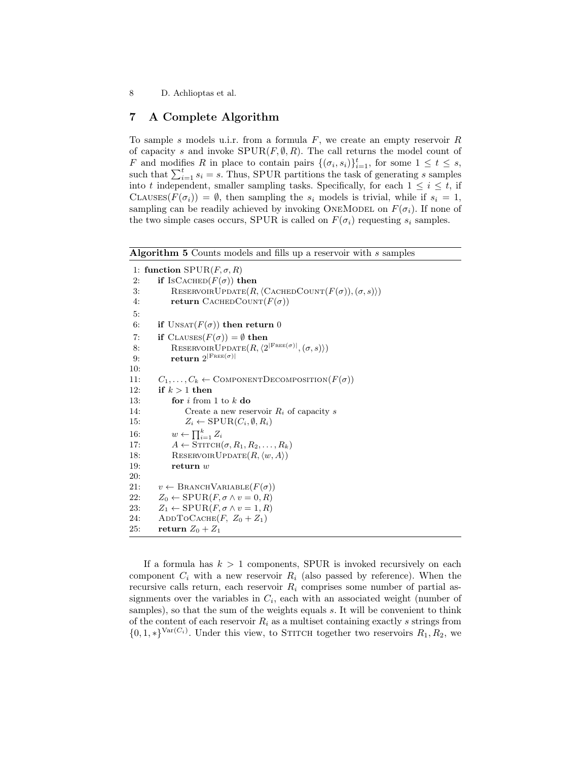8 D. Achlioptas et al.

### 7 A Complete Algorithm

To sample s models u.i.r. from a formula  $F$ , we create an empty reservoir  $R$ of capacity s and invoke  $\text{SPUR}(F, \emptyset, R)$ . The call returns the model count of F and modifies R in place to contain pairs  $\{(\sigma_i, s_i)\}_{i=1}^t$ , for some  $1 \leq t \leq s$ , such that  $\sum_{i=1}^{t} s_i = s$ . Thus, SPUR partitions the task of generating s samples into t independent, smaller sampling tasks. Specifically, for each  $1 \leq i \leq t$ , if CLAUSES( $F(\sigma_i)$ ) =  $\emptyset$ , then sampling the  $s_i$  models is trivial, while if  $s_i = 1$ , sampling can be readily achieved by invoking ONEMODEL on  $F(\sigma_i)$ . If none of the two simple cases occurs, SPUR is called on  $F(\sigma_i)$  requesting  $s_i$  samples.

Algorithm 5 Counts models and fills up a reservoir with s samples

```
1: function \text{SPUR}(F, \sigma, R)2: if IsCached(F(\sigma)) then
 3: RESERVOIRUPDATE(R, \langle \text{CACHEDCOUNT}(F(\sigma)),(\sigma, s) \rangle)4: return CACHEDCOUNT(F(\sigma))5:
 6: if \text{UNSAT}(F(\sigma)) then return 0
 7: if \text{CLASS}(F(\sigma)) = \emptyset then
 8: RESERVOIRUPDATE(R, \langle 2^{| \text{FREE}(\sigma) |}, (\sigma, s) \rangle)9: return 2^{|F_{\text{REE}}(\sigma)|}10:
11: C_1, \ldots, C_k \leftarrow \text{COMPORTDecOMPOSTTON}(F(\sigma))12: if k > 1 then
13: for i from 1 to k do
14: Create a new reservoir R_i of capacity s
15: Z_i \leftarrow \text{SPUR}(C_i, \emptyset, R_i)16: w \leftarrow \prod_{i=1}^{k} Z_i17: A \leftarrow \text{STITCH}(\sigma, R_1, R_2, \dots, R_k)18: RESERVOIRUPDATE(R, \langle w, A \rangle)19: return w20:
21: v \leftarrow \text{BrawCHVARIABLE}(F(\sigma))22: Z_0 \leftarrow \text{SPUR}(F, \sigma \wedge v = 0, R)23: Z_1 \leftarrow \text{SPUR}(F, \sigma \wedge v = 1, R)24: ADDTOCACHE(F, Z_0 + Z_1)25: return Z_0 + Z_1
```
If a formula has  $k > 1$  components, SPUR is invoked recursively on each component  $C_i$  with a new reservoir  $R_i$  (also passed by reference). When the recursive calls return, each reservoir  $R_i$  comprises some number of partial assignments over the variables in  $C_i$ , each with an associated weight (number of samples), so that the sum of the weights equals s. It will be convenient to think of the content of each reservoir  $R_i$  as a multiset containing exactly s strings from  ${0, 1, *}\$ <sup>Var(C<sub>i</sub>)</sup>. Under this view, to STITCH together two reservoirs  $R_1, R_2$ , we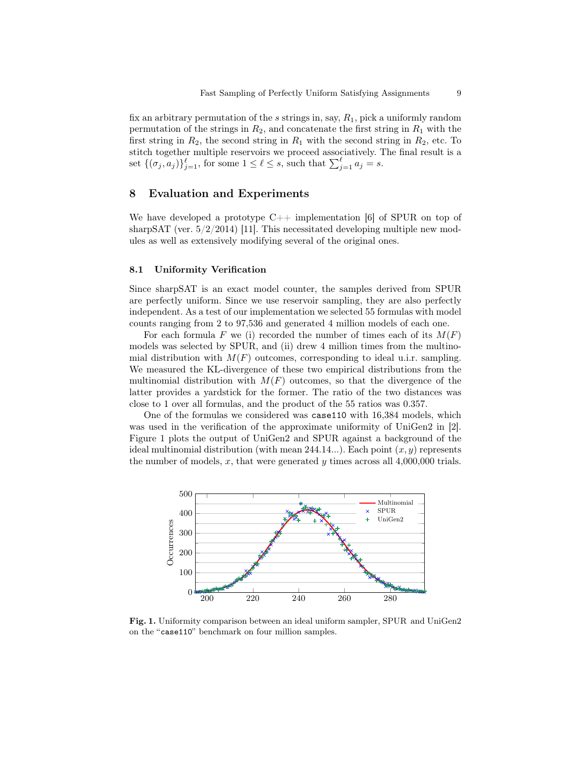fix an arbitrary permutation of the s strings in, say,  $R_1$ , pick a uniformly random permutation of the strings in  $R_2$ , and concatenate the first string in  $R_1$  with the first string in  $R_2$ , the second string in  $R_1$  with the second string in  $R_2$ , etc. To stitch together multiple reservoirs we proceed associatively. The final result is a set  $\{(\sigma_j, a_j)\}_{j=1}^{\ell}$ , for some  $1 \leq \ell \leq s$ , such that  $\sum_{j=1}^{\ell} a_j = s$ .

### 8 Evaluation and Experiments

We have developed a prototype  $C_{++}$  implementation [\[6\]](#page-12-8) of SPUR on top of sharpSAT (ver.  $5/2/2014$ ) [\[11\]](#page-12-2). This necessitated developing multiple new modules as well as extensively modifying several of the original ones.

### 8.1 Uniformity Verification

Since sharpSAT is an exact model counter, the samples derived from SPUR are perfectly uniform. Since we use reservoir sampling, they are also perfectly independent. As a test of our implementation we selected 55 formulas with model counts ranging from 2 to 97,536 and generated 4 million models of each one.

For each formula F we (i) recorded the number of times each of its  $M(F)$ models was selected by SPUR, and (ii) drew 4 million times from the multinomial distribution with  $M(F)$  outcomes, corresponding to ideal u.i.r. sampling. We measured the KL-divergence of these two empirical distributions from the multinomial distribution with  $M(F)$  outcomes, so that the divergence of the latter provides a yardstick for the former. The ratio of the two distances was close to 1 over all formulas, and the product of the 55 ratios was 0.357.

One of the formulas we considered was case110 with 16,384 models, which was used in the verification of the approximate uniformity of UniGen2 in [\[2\]](#page-12-6). Figure [1](#page-8-0) plots the output of UniGen2 and SPUR against a background of the ideal multinomial distribution (with mean  $244.14...$ ). Each point  $(x, y)$  represents the number of models, x, that were generated  $y$  times across all 4,000,000 trials.



<span id="page-8-0"></span>Fig. 1. Uniformity comparison between an ideal uniform sampler, SPUR and UniGen2 on the "case110" benchmark on four million samples.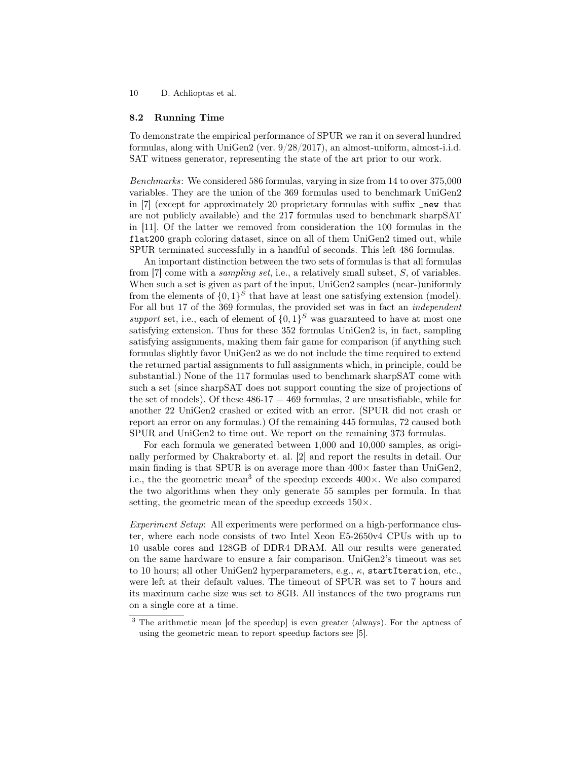#### 10 D. Achlioptas et al.

#### 8.2 Running Time

To demonstrate the empirical performance of SPUR we ran it on several hundred formulas, along with UniGen2 (ver. 9/28/2017), an almost-uniform, almost-i.i.d. SAT witness generator, representing the state of the art prior to our work.

Benchmarks: We considered 586 formulas, varying in size from 14 to over 375,000 variables. They are the union of the 369 formulas used to benchmark UniGen2 in [\[7\]](#page-12-9) (except for approximately 20 proprietary formulas with suffix \_new that are not publicly available) and the 217 formulas used to benchmark sharpSAT in [\[11\]](#page-12-2). Of the latter we removed from consideration the 100 formulas in the flat200 graph coloring dataset, since on all of them UniGen2 timed out, while SPUR terminated successfully in a handful of seconds. This left 486 formulas.

An important distinction between the two sets of formulas is that all formulas from [\[7\]](#page-12-9) come with a *sampling set*, i.e., a relatively small subset,  $S$ , of variables. When such a set is given as part of the input, UniGen2 samples (near-)uniformly from the elements of  $\{0,1\}^S$  that have at least one satisfying extension (model). For all but 17 of the 369 formulas, the provided set was in fact an independent support set, i.e., each of element of  $\{0,1\}^S$  was guaranteed to have at most one satisfying extension. Thus for these 352 formulas UniGen2 is, in fact, sampling satisfying assignments, making them fair game for comparison (if anything such formulas slightly favor UniGen2 as we do not include the time required to extend the returned partial assignments to full assignments which, in principle, could be substantial.) None of the 117 formulas used to benchmark sharpSAT come with such a set (since sharpSAT does not support counting the size of projections of the set of models). Of these  $486-17 = 469$  formulas, 2 are unsatisfiable, while for another 22 UniGen2 crashed or exited with an error. (SPUR did not crash or report an error on any formulas.) Of the remaining 445 formulas, 72 caused both SPUR and UniGen2 to time out. We report on the remaining 373 formulas.

For each formula we generated between 1,000 and 10,000 samples, as originally performed by Chakraborty et. al. [\[2\]](#page-12-6) and report the results in detail. Our main finding is that SPUR is on average more than  $400\times$  faster than UniGen2, i.e., the the geometric mean<sup>[3](#page-9-0)</sup> of the speedup exceeds  $400\times$ . We also compared the two algorithms when they only generate 55 samples per formula. In that setting, the geometric mean of the speedup exceeds  $150 \times$ .

Experiment Setup: All experiments were performed on a high-performance cluster, where each node consists of two Intel Xeon E5-2650v4 CPUs with up to 10 usable cores and 128GB of DDR4 DRAM. All our results were generated on the same hardware to ensure a fair comparison. UniGen2's timeout was set to 10 hours; all other UniGen2 hyperparameters, e.g.,  $\kappa$ , startIteration, etc., were left at their default values. The timeout of SPUR was set to 7 hours and its maximum cache size was set to 8GB. All instances of the two programs run on a single core at a time.

<span id="page-9-0"></span><sup>&</sup>lt;sup>3</sup> The arithmetic mean [of the speedup] is even greater (always). For the aptness of using the geometric mean to report speedup factors see [\[5\]](#page-12-10).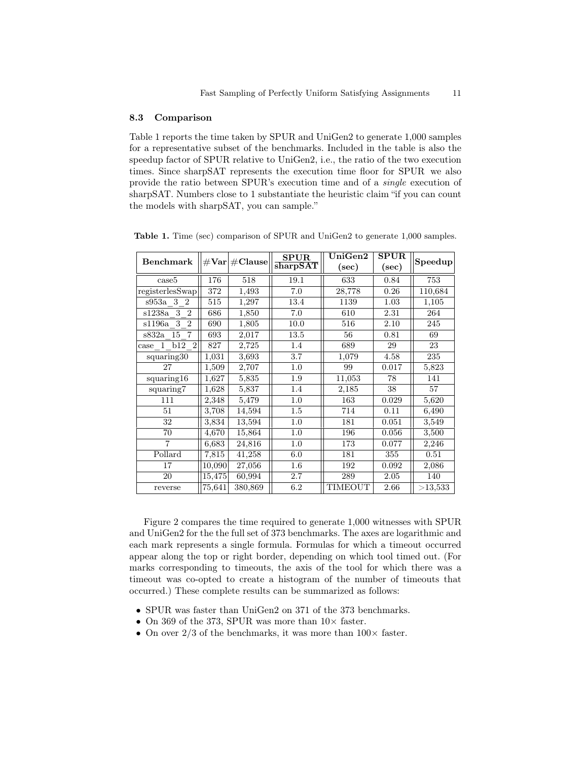#### 8.3 Comparison

Table [1](#page-10-0) reports the time taken by SPUR and UniGen2 to generate 1,000 samples for a representative subset of the benchmarks. Included in the table is also the speedup factor of SPUR relative to UniGen2, i.e., the ratio of the two execution times. Since sharpSAT represents the execution time floor for SPUR we also provide the ratio between SPUR's execution time and of a single execution of sharpSAT. Numbers close to 1 substantiate the heuristic claim "if you can count the models with sharpSAT, you can sample."

| <b>Benchmark</b>            |        | $\#\text{Var} \#\text{Clause}$ | <b>SPUR</b> | UniGen2        | <b>SPUR</b> | Speedup |  |
|-----------------------------|--------|--------------------------------|-------------|----------------|-------------|---------|--|
|                             |        |                                | sharpSAT    | $(\sec)$       | (sec)       |         |  |
| case5                       | 176    | 518                            | 19.1        | 633            | 0.84        | 753     |  |
| registerlesSwap             | 372    | 1,493                          | 7.0         | 28,778         | 0.26        | 110,684 |  |
| s953a 3 2                   | 515    | 1,297                          | 13.4        | 1139           | 1.03        | 1,105   |  |
| $s1238a \ 3 \ \overline{2}$ | 686    | 1,850                          | 7.0         | 610            | 2.31        | 264     |  |
| s1196a 3<br>$\overline{2}$  | 690    | 1,805                          | 10.0        | 516            | 2.10        | 245     |  |
| 15 7<br>s832a               | 693    | 2,017                          | 13.5        | 56             | 0.81        | 69      |  |
| b12 2<br>$\bar{1}$<br>case  | 827    | 2,725                          | 1.4         | 689            | 29          | 23      |  |
| squaring 30                 | 1,031  | 3,693                          | 3.7         | 1,079          | 4.58        | 235     |  |
| 27                          | 1,509  | 2,707                          | 1.0         | 99             | 0.017       | 5,823   |  |
| squaring 16                 | 1,627  | 5,835                          | 1.9         | 11,053         | 78          | 141     |  |
| squaring7                   | 1,628  | 5,837                          | 1.4         | 2,185          | 38          | 57      |  |
| 111                         | 2,348  | 5,479                          | $1.0\,$     | 163            | 0.029       | 5,620   |  |
| 51                          | 3,708  | 14,594                         | 1.5         | 714            | 0.11        | 6,490   |  |
| 32                          | 3,834  | 13,594                         | $1.0\,$     | 181            | 0.051       | 3,549   |  |
| 70                          | 4,670  | 15,864                         | $1.0\,$     | 196            | 0.056       | 3,500   |  |
| $\overline{7}$              | 6,683  | 24,816                         | $1.0\,$     | 173            | 0.077       | 2,246   |  |
| Pollard                     | 7,815  | 41,258                         | 6.0         | 181            | 355         | 0.51    |  |
| 17                          | 10,090 | 27,056                         | $1.6\,$     | 192            | 0.092       | 2,086   |  |
| 20                          | 15,475 | 60,994                         | 2.7         | 289            | 2.05        | 140     |  |
| reverse                     | 75,641 | 380,869                        | 6.2         | <b>TIMEOUT</b> | 2.66        | >13,533 |  |

<span id="page-10-0"></span>Table 1. Time (sec) comparison of SPUR and UniGen2 to generate 1,000 samples.

Figure [2](#page-11-1) compares the time required to generate 1,000 witnesses with SPUR and UniGen2 for the the full set of 373 benchmarks. The axes are logarithmic and each mark represents a single formula. Formulas for which a timeout occurred appear along the top or right border, depending on which tool timed out. (For marks corresponding to timeouts, the axis of the tool for which there was a timeout was co-opted to create a histogram of the number of timeouts that occurred.) These complete results can be summarized as follows:

- SPUR was faster than UniGen2 on 371 of the 373 benchmarks.
- On 369 of the 373, SPUR was more than  $10\times$  faster.
- On over  $2/3$  of the benchmarks, it was more than  $100\times$  faster.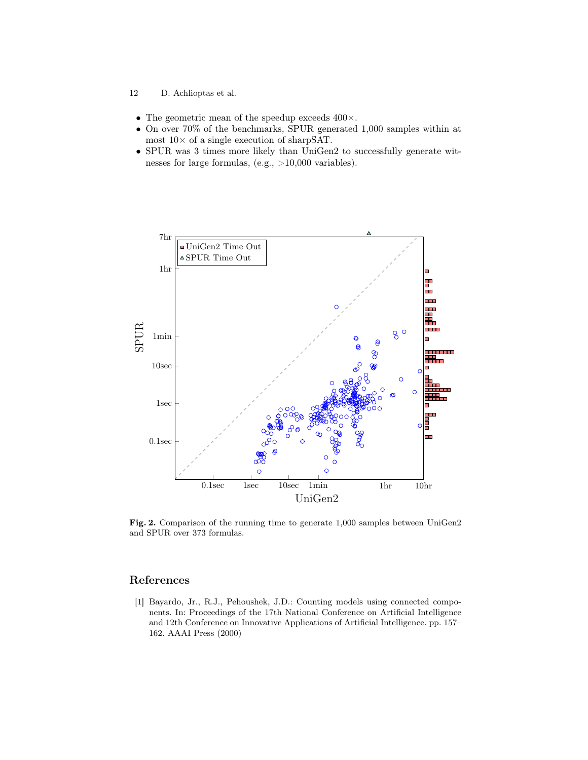- 12 D. Achlioptas et al.
	- The geometric mean of the speedup exceeds  $400 \times$ .
	- On over 70% of the benchmarks, SPUR generated 1,000 samples within at most  $10\times$  of a single execution of sharpSAT.
	- SPUR was 3 times more likely than UniGen2 to successfully generate witnesses for large formulas, (e.g., >10,000 variables).



<span id="page-11-1"></span>Fig. 2. Comparison of the running time to generate 1,000 samples between UniGen2 and SPUR over 373 formulas.

# References

<span id="page-11-0"></span>[1] Bayardo, Jr., R.J., Pehoushek, J.D.: Counting models using connected components. In: Proceedings of the 17th National Conference on Artificial Intelligence and 12th Conference on Innovative Applications of Artificial Intelligence. pp. 157– 162. AAAI Press (2000)